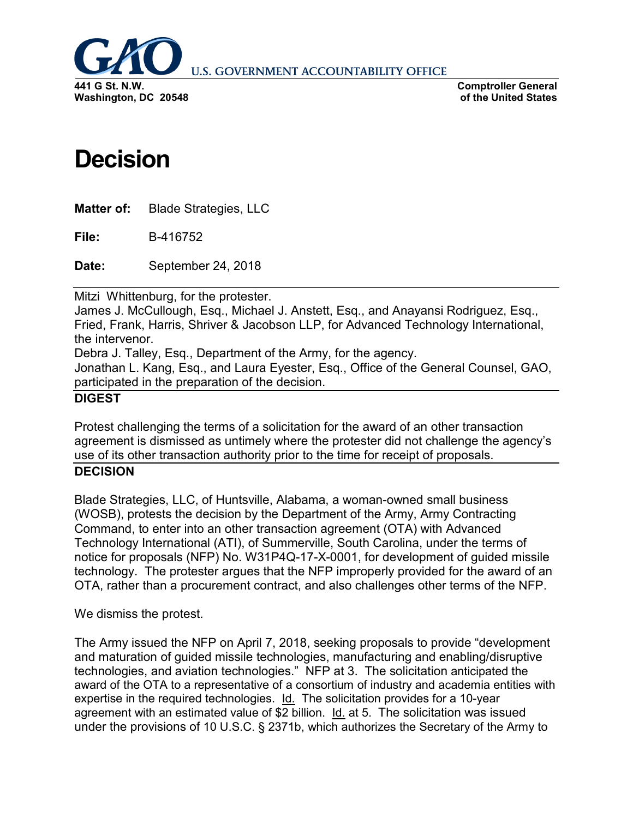

**U.S. GOVERNMENT ACCOUNTABILITY OFFICE** 

**Comptroller General of the United States**

## **Decision**

**Matter of:** Blade Strategies, LLC

**File:** B-416752

**Date:** September 24, 2018

Mitzi Whittenburg, for the protester.

James J. McCullough, Esq., Michael J. Anstett, Esq., and Anayansi Rodriguez, Esq., Fried, Frank, Harris, Shriver & Jacobson LLP, for Advanced Technology International, the intervenor.

Debra J. Talley, Esq., Department of the Army, for the agency. Jonathan L. Kang, Esq., and Laura Eyester, Esq., Office of the General Counsel, GAO, participated in the preparation of the decision.

## **DIGEST**

Protest challenging the terms of a solicitation for the award of an other transaction agreement is dismissed as untimely where the protester did not challenge the agency's use of its other transaction authority prior to the time for receipt of proposals.

## **DECISION**

Blade Strategies, LLC, of Huntsville, Alabama, a woman-owned small business (WOSB), protests the decision by the Department of the Army, Army Contracting Command, to enter into an other transaction agreement (OTA) with Advanced Technology International (ATI), of Summerville, South Carolina, under the terms of notice for proposals (NFP) No. W31P4Q-17-X-0001, for development of guided missile technology. The protester argues that the NFP improperly provided for the award of an OTA, rather than a procurement contract, and also challenges other terms of the NFP.

We dismiss the protest.

The Army issued the NFP on April 7, 2018, seeking proposals to provide "development and maturation of guided missile technologies, manufacturing and enabling/disruptive technologies, and aviation technologies." NFP at 3. The solicitation anticipated the award of the OTA to a representative of a consortium of industry and academia entities with expertise in the required technologies. Id. The solicitation provides for a 10-year agreement with an estimated value of \$2 billion. Id. at 5. The solicitation was issued under the provisions of 10 U.S.C. § 2371b, which authorizes the Secretary of the Army to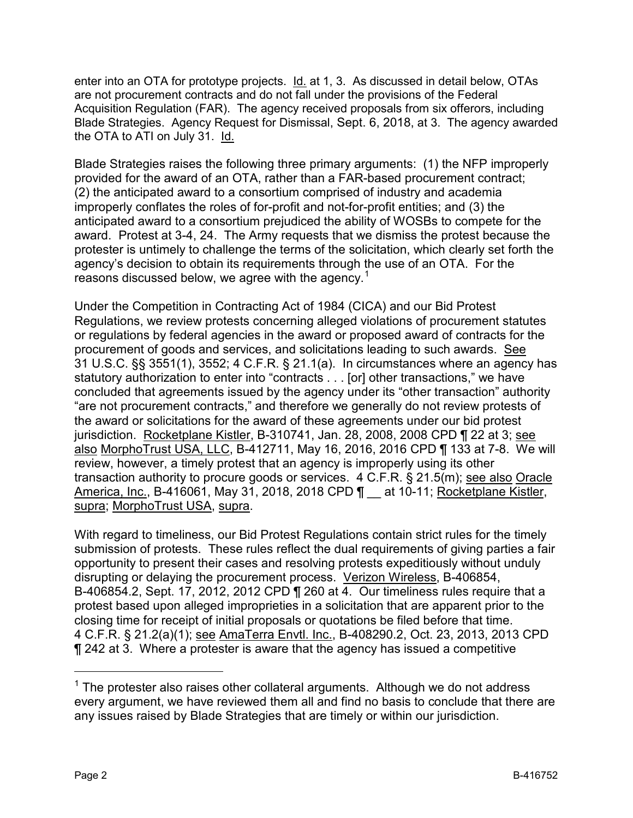enter into an OTA for prototype projects. Id. at 1, 3. As discussed in detail below, OTAs are not procurement contracts and do not fall under the provisions of the Federal Acquisition Regulation (FAR). The agency received proposals from six offerors, including Blade Strategies. Agency Request for Dismissal, Sept. 6, 2018, at 3. The agency awarded the OTA to ATI on July 31. Id.

Blade Strategies raises the following three primary arguments: (1) the NFP improperly provided for the award of an OTA, rather than a FAR-based procurement contract; (2) the anticipated award to a consortium comprised of industry and academia improperly conflates the roles of for-profit and not-for-profit entities; and (3) the anticipated award to a consortium prejudiced the ability of WOSBs to compete for the award. Protest at 3-4, 24. The Army requests that we dismiss the protest because the protester is untimely to challenge the terms of the solicitation, which clearly set forth the agency's decision to obtain its requirements through the use of an OTA. For the reasons discussed below, we agree with the agency.<sup>[1](#page-1-0)</sup>

Under the Competition in Contracting Act of 1984 (CICA) and our Bid Protest Regulations, we review protests concerning alleged violations of procurement statutes or regulations by federal agencies in the award or proposed award of contracts for the procurement of goods and services, and solicitations leading to such awards. See 31 U.S.C. §§ 3551(1), 3552; 4 C.F.R. § 21.1(a). In circumstances where an agency has statutory authorization to enter into "contracts . . . [or] other transactions," we have concluded that agreements issued by the agency under its "other transaction" authority "are not procurement contracts," and therefore we generally do not review protests of the award or solicitations for the award of these agreements under our bid protest jurisdiction. Rocketplane Kistler, B-310741, Jan. 28, 2008, 2008 CPD ¶ 22 at 3; see also MorphoTrust USA, LLC, B-412711, May 16, 2016, 2016 CPD ¶ 133 at 7-8. We will review, however, a timely protest that an agency is improperly using its other transaction authority to procure goods or services. 4 C.F.R. § 21.5(m); see also Oracle America, Inc., B-416061, May 31, 2018, 2018 CPD | at 10-11; Rocketplane Kistler, supra; MorphoTrust USA, supra.

With regard to timeliness, our Bid Protest Regulations contain strict rules for the timely submission of protests. These rules reflect the dual requirements of giving parties a fair opportunity to present their cases and resolving protests expeditiously without unduly disrupting or delaying the procurement process. Verizon Wireless, B-406854, B-406854.2, Sept. 17, 2012, 2012 CPD ¶ 260 at 4. Our timeliness rules require that a protest based upon alleged improprieties in a solicitation that are apparent prior to the closing time for receipt of initial proposals or quotations be filed before that time. 4 C.F.R. § 21.2(a)(1); see AmaTerra Envtl. Inc., B-408290.2, Oct. 23, 2013, 2013 CPD ¶ 242 at 3. Where a protester is aware that the agency has issued a competitive

<span id="page-1-0"></span> $1$  The protester also raises other collateral arguments. Although we do not address every argument, we have reviewed them all and find no basis to conclude that there are any issues raised by Blade Strategies that are timely or within our jurisdiction.